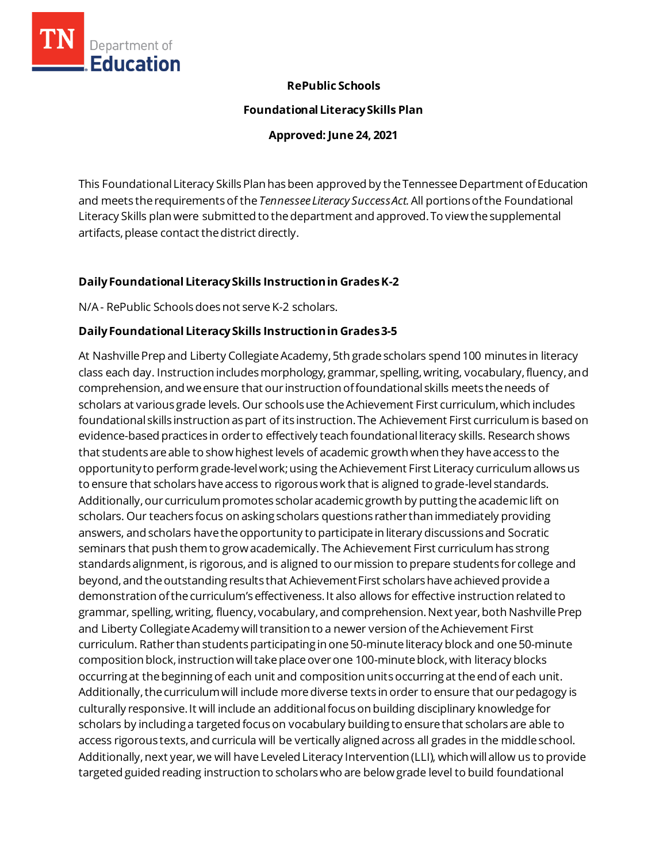

## **RePublic Schools**

#### **Foundational Literacy Skills Plan**

**Approved: June 24, 2021**

This Foundational Literacy Skills Plan has been approved by the Tennessee Department of Education and meets the requirementsof the *Tennessee Literacy Success Act.*All portionsofthe Foundational Literacy Skills plan were submitted to the department and approved. To view the supplemental artifacts, please contact the district directly.

# **Daily Foundational Literacy Skills Instructionin GradesK-2**

N/A - RePublic Schools does not serve K-2 scholars.

## **Daily Foundational Literacy Skills Instruction in Grades 3-5**

At Nashville Prep and Liberty Collegiate Academy, 5th grade scholars spend 100 minutes in literacy class each day. Instruction includes morphology, grammar, spelling, writing, vocabulary, fluency, and comprehension, and we ensure that our instruction of foundational skills meets the needs of scholars at various grade levels. Our schools use the Achievement First curriculum, which includes foundational skills instruction as part of its instruction. The Achievement First curriculum is based on evidence-based practices in order to effectively teach foundational literacy skills. Research shows that students are able to show highest levels of academic growth when they have access to the opportunity to perform grade-level work; using the Achievement First Literacy curriculum allows us to ensure that scholars have access to rigorous work that is aligned to grade-level standards. Additionally, our curriculum promotes scholar academic growth by putting the academic lift on scholars. Our teachers focus on asking scholars questions rather than immediately providing answers, and scholars have the opportunity to participate in literary discussions and Socratic seminars that push them to grow academically. The Achievement First curriculum has strong standards alignment, is rigorous, and is aligned to our mission to prepare students for college and beyond, and the outstanding results that Achievement First scholars have achieved provide a demonstration of the curriculum's effectiveness. It also allows for effective instruction related to grammar, spelling, writing, fluency, vocabulary, and comprehension. Next year, both Nashville Prep and Liberty Collegiate Academy will transition to a newer version of the Achievement First curriculum. Rather than students participating in one 50-minute literacy block and one 50-minute composition block, instruction will take place over one 100-minute block, with literacy blocks occurring at the beginning of each unit and composition units occurring at the end of each unit. Additionally, the curriculum will include more diverse texts in order to ensure that our pedagogy is culturally responsive. It will include an additional focus on building disciplinary knowledge for scholars by including a targeted focus on vocabulary building to ensure that scholars are able to access rigorous texts, and curricula will be vertically aligned across all grades in the middle school. Additionally, next year, we will have Leveled Literacy Intervention (LLI), which will allow us to provide targeted guided reading instruction to scholars who are below grade level to build foundational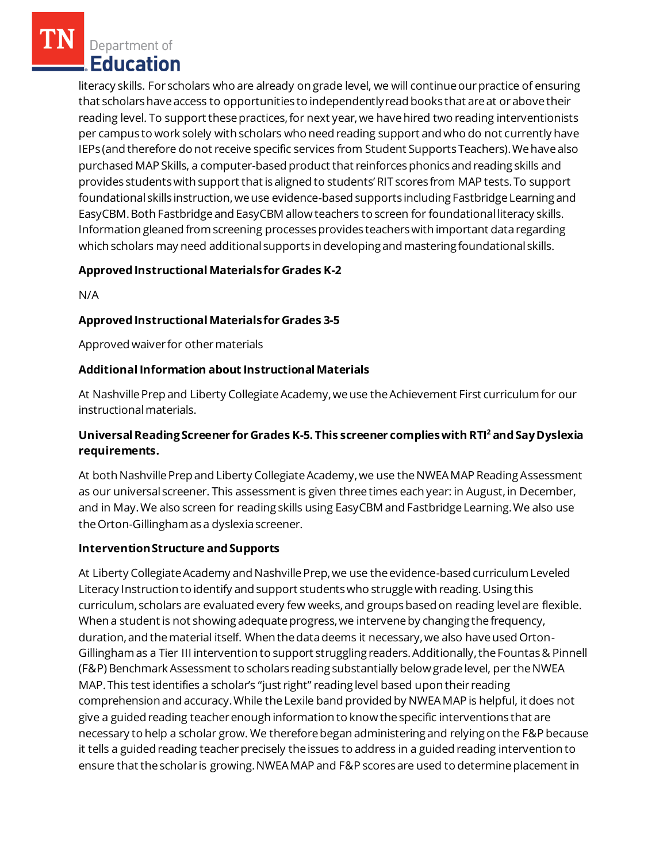literacy skills. For scholars who are already on grade level, we will continue our practice of ensuring that scholars have access to opportunities to independently read books that are at or above their reading level. To support these practices, for next year, we have hired two reading interventionists per campus to work solely with scholars who need reading support and who do not currently have IEPs (and therefore do not receive specific services from Student Supports Teachers). We have also purchased MAP Skills, a computer-based product that reinforces phonics and reading skills and provides students with support that is aligned to students' RIT scores from MAP tests. To support foundational skills instruction, we use evidence-based supports including Fastbridge Learning and EasyCBM. Both Fastbridge and EasyCBM allow teachers to screen for foundational literacy skills. Information gleaned from screening processes provides teachers with important data regarding which scholars may need additional supports in developing and mastering foundational skills.

## **Approved Instructional Materialsfor Grades K-2**

N/A

## **Approved Instructional Materials for Grades 3-5**

Approved waiver for other materials

#### **AdditionalInformation about Instructional Materials**

At Nashville Prep and Liberty Collegiate Academy, we use the Achievement First curriculum for our instructional materials.

# **Universal Reading Screener for Grades K-5. This screener complies with RTI<sup>2</sup>and Say Dyslexia requirements.**

At both Nashville Prep and Liberty Collegiate Academy, we use the NWEA MAP Reading Assessment as our universal screener. This assessment is given three times each year: in August, in December, and in May. We also screen for reading skills using EasyCBM and Fastbridge Learning. We also use the Orton-Gillingham as a dyslexia screener.

#### **Intervention Structure and Supports**

At Liberty Collegiate Academy and Nashville Prep, we use the evidence-based curriculum Leveled Literacy Instruction to identify and support students who struggle with reading. Using this curriculum, scholars are evaluated every few weeks, and groups based on reading level are flexible. When a student is not showing adequate progress, we intervene by changing the frequency, duration, and the material itself. When the data deems it necessary, we also have used Orton-Gillingham as a Tier III intervention to support struggling readers. Additionally, the Fountas & Pinnell (F&P) Benchmark Assessment to scholars reading substantially below grade level, per the NWEA MAP. This test identifies a scholar's "just right" reading level based upon their reading comprehension and accuracy. While the Lexile band provided by NWEA MAP is helpful, it does not give a guided reading teacher enough information to know the specific interventions that are necessary to help a scholar grow. We therefore began administering and relying on the F&P because it tells a guided reading teacher precisely the issues to address in a guided reading intervention to ensure that the scholar is growing. NWEA MAP and F&P scores are used to determine placement in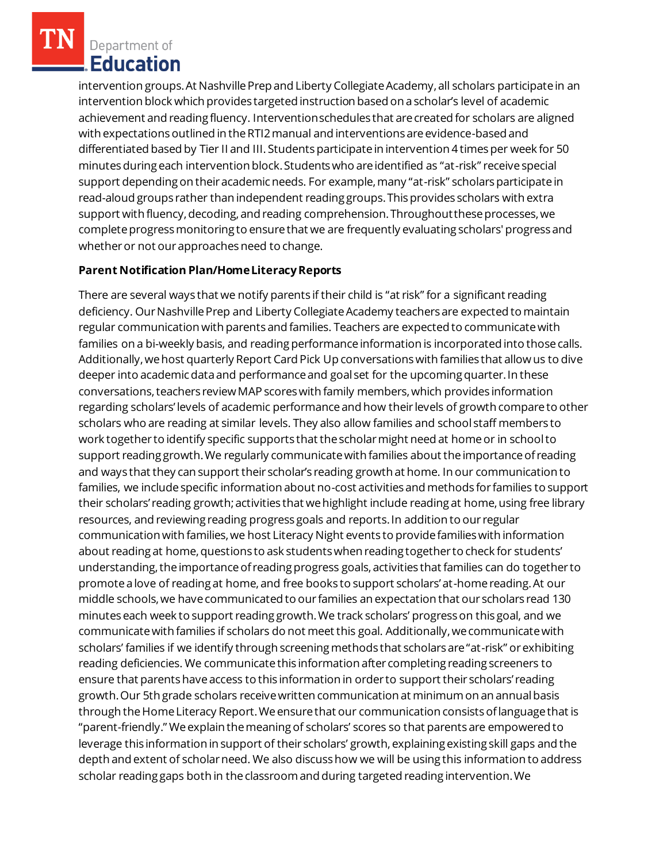intervention groups. At Nashville Prep and Liberty Collegiate Academy, all scholars participate in an intervention block which provides targeted instruction based on a scholar's level of academic achievement and reading fluency. Intervention schedules that are created for scholars are aligned with expectations outlined in the RTI2 manual and interventions are evidence-based and differentiated based by Tier II and III. Students participate in intervention 4 times per week for 50 minutes during each intervention block. Students who are identified as "at-risk" receive special support depending on their academic needs. For example, many "at-risk" scholars participate in read-aloud groups rather than independent reading groups. This provides scholars with extra support with fluency, decoding, and reading comprehension. Throughout these processes, we complete progress monitoring to ensure that we are frequently evaluating scholars' progress and whether or not our approaches need to change.

#### **Parent Notification Plan/HomeLiteracyReports**

There are several ways that we notify parents if their child is "at risk" for a significant reading deficiency. Our Nashville Prep and Liberty Collegiate Academy teachers are expected to maintain regular communication with parents and families. Teachers are expected to communicate with families on a bi-weekly basis, and reading performance information is incorporated into those calls. Additionally, we host quarterly Report Card Pick Up conversations with families that allow us to dive deeper into academic data and performance and goal set for the upcoming quarter. In these conversations, teachers review MAP scores with family members, which provides information regarding scholars' levels of academic performance and how their levels of growth compare to other scholars who are reading at similar levels. They also allow families and school staff members to work together to identify specific supports that the scholar might need at home or in school to support reading growth. We regularly communicate with families about the importance of reading and ways that they can support their scholar's reading growth at home. In our communication to families, we include specific information about no-cost activities and methods for families to support their scholars' reading growth; activities that we highlight include reading at home, using free library resources, and reviewing reading progress goals and reports. In addition to our regular communication with families, we host Literacy Night events to provide families with information about reading at home, questions to ask students when reading together to check for students' understanding, the importance of reading progress goals, activities that families can do together to promote a love of reading at home, and free books to support scholars' at-home reading. At our middle schools, we have communicated to our families an expectation that our scholars read 130 minutes each week to support reading growth. We track scholars' progress on this goal, and we communicate with families if scholars do not meet this goal. Additionally, we communicate with scholars' families if we identify through screening methods that scholars are "at-risk" or exhibiting reading deficiencies. We communicate this information after completing reading screeners to ensure that parents have access to this information in order to support their scholars' reading growth. Our 5th grade scholars receive written communication at minimum on an annual basis through the Home Literacy Report. We ensure that our communication consists of language that is "parent-friendly." We explain the meaning of scholars' scores so that parents are empowered to leverage this information in support of their scholars' growth, explaining existing skill gaps and the depth and extent of scholar need. We also discuss how we will be using this information to address scholar reading gaps both in the classroom and during targeted reading intervention. We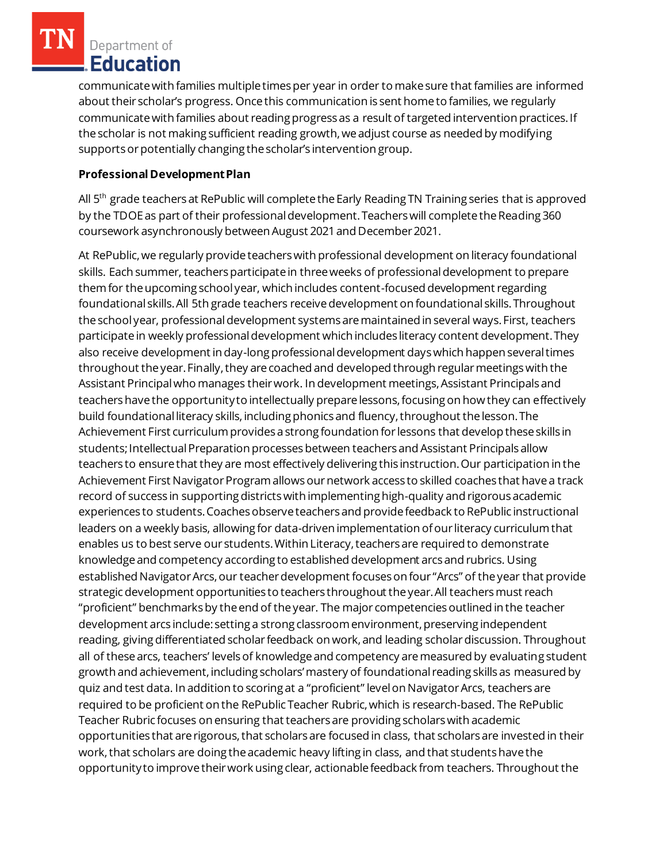communicate with families multiple times per year in order to make sure that families are informed about their scholar's progress. Once this communication is sent home to families, we regularly communicate with families about reading progress as a result of targeted intervention practices. If the scholar is not making sufficient reading growth, we adjust course as needed by modifying supports or potentially changing the scholar's intervention group.

## **Professional Development Plan**

All 5<sup>th</sup> grade teachers at RePublic will complete the Early Reading TN Training series that is approved by the TDOE as part of their professional development. Teachers will complete the Reading 360 coursework asynchronously between August 2021 and December 2021.

At RePublic, we regularly provide teachers with professional development on literacy foundational skills. Each summer, teachers participate in three weeks of professional development to prepare them for the upcoming school year, which includes content-focused development regarding foundational skills. All 5th grade teachers receive development on foundational skills. Throughout the school year, professional development systems are maintained in several ways. First, teachers participate in weekly professional development which includes literacy content development. They also receive development in day-long professional development days which happen several times throughout the year. Finally, they are coached and developed through regular meetings with the Assistant Principal who manages their work. In development meetings, Assistant Principals and teachers have the opportunity to intellectually prepare lessons, focusing on how they can effectively build foundational literacy skills, including phonics and fluency, throughout the lesson. The Achievement First curriculum provides a strong foundation for lessons that develop these skills in students; Intellectual Preparation processes between teachers and Assistant Principals allow teachers to ensure that they are most effectively delivering this instruction. Our participation in the Achievement First Navigator Program allows our network access to skilled coaches that have a track record of success in supporting districts with implementing high-quality and rigorous academic experiences to students. Coaches observe teachers and provide feedback to RePublic instructional leaders on a weekly basis, allowing for data-driven implementation of our literacy curriculum that enables us to best serve our students. Within Literacy, teachers are required to demonstrate knowledge and competency according to established development arcs and rubrics. Using established Navigator Arcs, our teacher development focuses on four "Arcs" of the year that provide strategic development opportunities to teachers throughout the year. All teachers must reach "proficient" benchmarks by the end of the year. The major competencies outlined in the teacher development arcs include: setting a strong classroom environment, preserving independent reading, giving differentiated scholar feedback on work, and leading scholar discussion. Throughout all of these arcs, teachers' levels of knowledge and competency are measured by evaluating student growth and achievement, including scholars' mastery of foundational reading skills as measured by quiz and test data. In addition to scoring at a "proficient" level on Navigator Arcs, teachers are required to be proficient on the RePublic Teacher Rubric, which is research-based. The RePublic Teacher Rubric focuses on ensuring that teachers are providing scholars with academic opportunities that are rigorous, that scholars are focused in class, that scholars are invested in their work, that scholars are doing the academic heavy lifting in class, and that students have the opportunity to improve their work using clear, actionable feedback from teachers. Throughout the